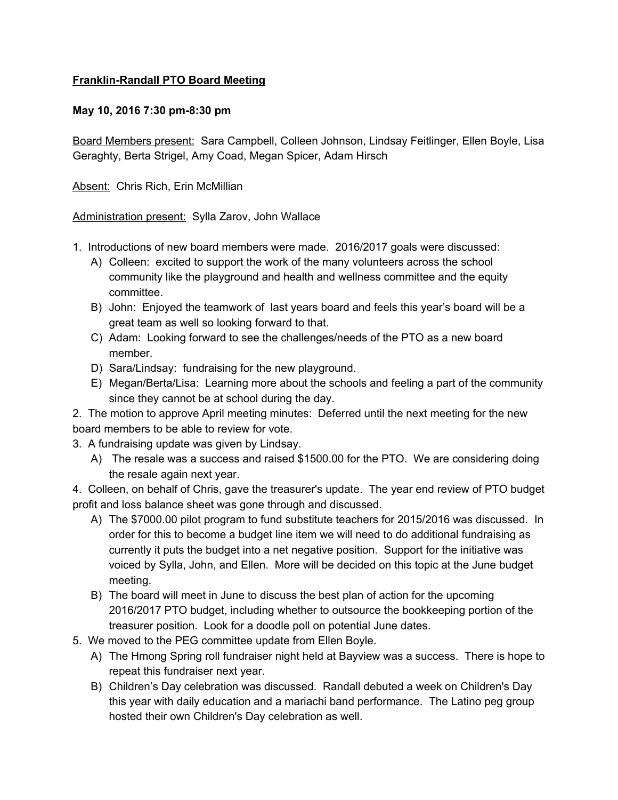## **Franklin-Randall PTO Board Meeting**

## **May 10, 2016 7:30 pm-8:30 pm**

Board Members present: Sara Campbell, Colleen Johnson, Lindsay Feitlinger, Ellen Boyle, Lisa Geraghty, Berta Strigel, Amy Coad, Megan Spicer, Adam Hirsch

Absent: Chris Rich, Erin McMillian

Administration present: Sylla Zarov, John Wallace

- 1. Introductions of new board members were made. 2016/2017 goals were discussed:
	- A) Colleen: excited to support the work of the many volunteers across the school community like the playground and health and wellness committee and the equity committee.
	- B) John: Enjoyed the teamwork of last years board and feels this year's board will be a great team as well so looking forward to that.
	- C) Adam: Looking forward to see the challenges/needs of the PTO as a new board member.
	- D) Sara/Lindsay: fundraising for the new playground.
	- E) Megan/Berta/Lisa: Learning more about the schools and feeling a part of the community since they cannot be at school during the day.

2. The motion to approve April meeting minutes: Deferred until the next meeting for the new board members to be able to review for vote.

- 3. A fundraising update was given by Lindsay.
	- A) The resale was a success and raised \$1500.00 for the PTO. We are considering doing the resale again next year.

4. Colleen, on behalf of Chris, gave the treasurer's update. The year end review of PTO budget profit and loss balance sheet was gone through and discussed.

- A) The \$7000.00 pilot program to fund substitute teachers for 2015/2016 was discussed. In order for this to become a budget line item we will need to do additional fundraising as currently it puts the budget into a net negative position. Support for the initiative was voiced by Sylla, John, and Ellen. More will be decided on this topic at the June budget meeting.
- B) The board will meet in June to discuss the best plan of action for the upcoming 2016/2017 PTO budget, including whether to outsource the bookkeeping portion of the treasurer position. Look for a doodle poll on potential June dates.
- 5. We moved to the PEG committee update from Ellen Boyle.
	- A) The Hmong Spring roll fundraiser night held at Bayview was a success. There is hope to repeat this fundraiser next year.
	- B) Children's Day celebration was discussed. Randall debuted a week on Children's Day this year with daily education and a mariachi band performance. The Latino peg group hosted their own Children's Day celebration as well.